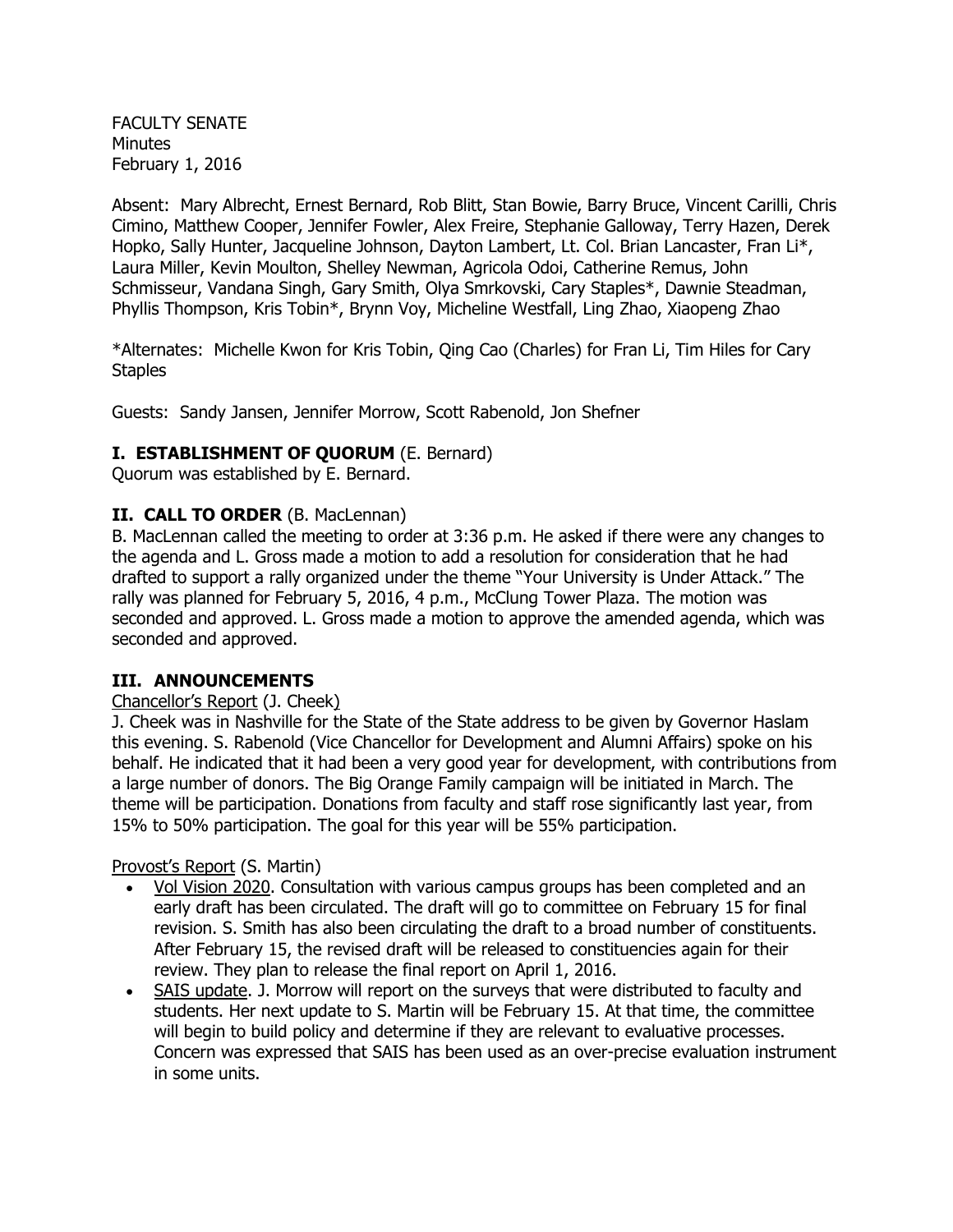FACULTY SENATE Minutes February 1, 2016

Absent: Mary Albrecht, Ernest Bernard, Rob Blitt, Stan Bowie, Barry Bruce, Vincent Carilli, Chris Cimino, Matthew Cooper, Jennifer Fowler, Alex Freire, Stephanie Galloway, Terry Hazen, Derek Hopko, Sally Hunter, Jacqueline Johnson, Dayton Lambert, Lt. Col. Brian Lancaster, Fran Li\*, Laura Miller, Kevin Moulton, Shelley Newman, Agricola Odoi, Catherine Remus, John Schmisseur, Vandana Singh, Gary Smith, Olya Smrkovski, Cary Staples\*, Dawnie Steadman, Phyllis Thompson, Kris Tobin\*, Brynn Voy, Micheline Westfall, Ling Zhao, Xiaopeng Zhao

\*Alternates: Michelle Kwon for Kris Tobin, Qing Cao (Charles) for Fran Li, Tim Hiles for Cary **Staples** 

Guests: Sandy Jansen, Jennifer Morrow, Scott Rabenold, Jon Shefner

# **I. ESTABLISHMENT OF QUORUM** (E. Bernard)

Quorum was established by E. Bernard.

# **II. CALL TO ORDER** (B. MacLennan)

B. MacLennan called the meeting to order at 3:36 p.m. He asked if there were any changes to the agenda and L. Gross made a motion to add a resolution for consideration that he had drafted to support a rally organized under the theme "Your University is Under Attack." The rally was planned for February 5, 2016, 4 p.m., McClung Tower Plaza. The motion was seconded and approved. L. Gross made a motion to approve the amended agenda, which was seconded and approved.

### **III. ANNOUNCEMENTS**

### Chancellor's Report (J. Cheek)

J. Cheek was in Nashville for the State of the State address to be given by Governor Haslam this evening. S. Rabenold (Vice Chancellor for Development and Alumni Affairs) spoke on his behalf. He indicated that it had been a very good year for development, with contributions from a large number of donors. The Big Orange Family campaign will be initiated in March. The theme will be participation. Donations from faculty and staff rose significantly last year, from 15% to 50% participation. The goal for this year will be 55% participation.

Provost's Report (S. Martin)

- Vol Vision 2020. Consultation with various campus groups has been completed and an early draft has been circulated. The draft will go to committee on February 15 for final revision. S. Smith has also been circulating the draft to a broad number of constituents. After February 15, the revised draft will be released to constituencies again for their review. They plan to release the final report on April 1, 2016.
- SAIS update. J. Morrow will report on the surveys that were distributed to faculty and students. Her next update to S. Martin will be February 15. At that time, the committee will begin to build policy and determine if they are relevant to evaluative processes. Concern was expressed that SAIS has been used as an over-precise evaluation instrument in some units.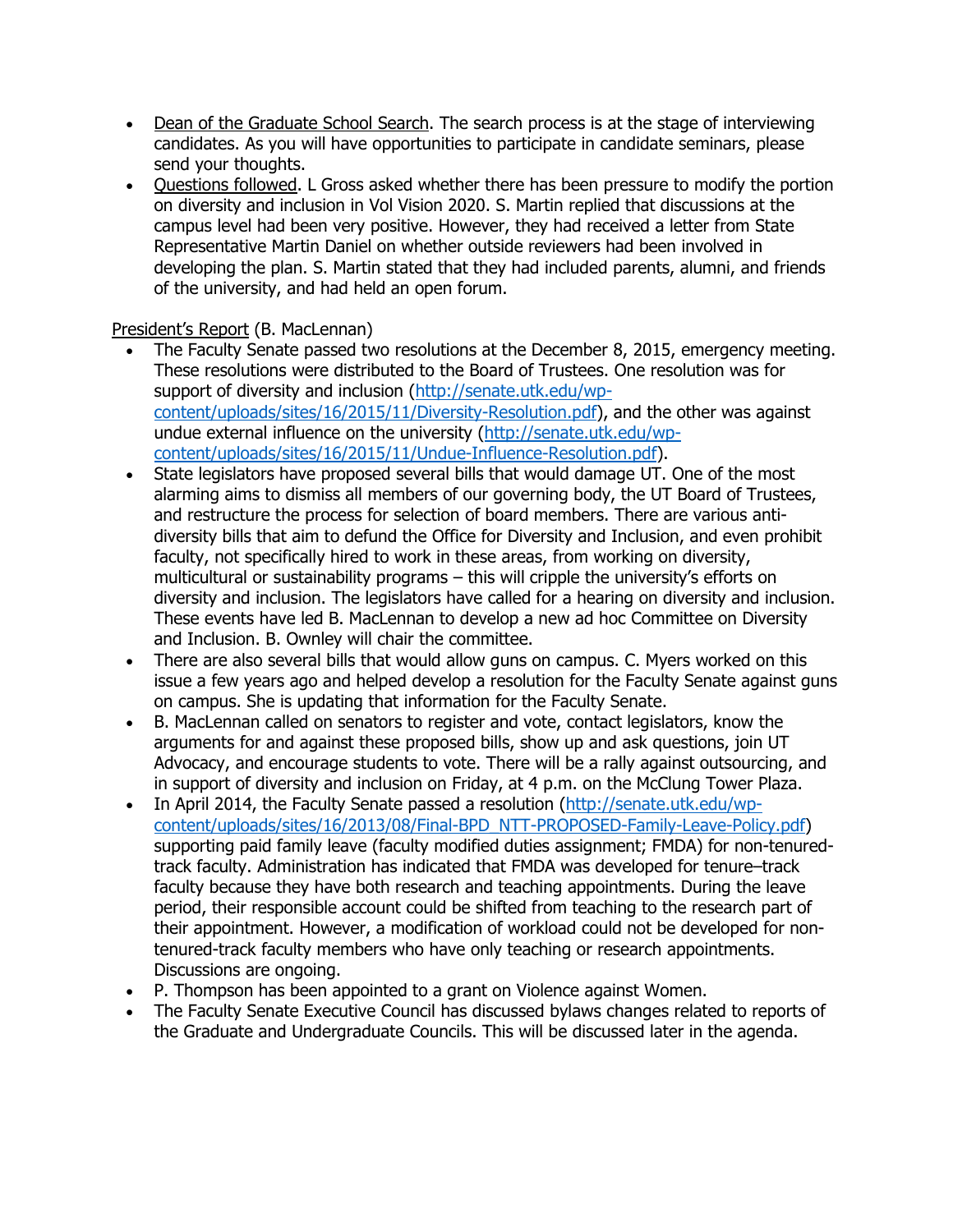- Dean of the Graduate School Search. The search process is at the stage of interviewing candidates. As you will have opportunities to participate in candidate seminars, please send your thoughts.
- Questions followed. L Gross asked whether there has been pressure to modify the portion on diversity and inclusion in Vol Vision 2020. S. Martin replied that discussions at the campus level had been very positive. However, they had received a letter from State Representative Martin Daniel on whether outside reviewers had been involved in developing the plan. S. Martin stated that they had included parents, alumni, and friends of the university, and had held an open forum.

# President's Report (B. MacLennan)

- The Faculty Senate passed two resolutions at the December 8, 2015, emergency meeting. These resolutions were distributed to the Board of Trustees. One resolution was for support of diversity and inclusion [\(http://senate.utk.edu/wp](http://senate.utk.edu/wp-content/uploads/sites/16/2015/11/Diversity-Resolution.pdf)[content/uploads/sites/16/2015/11/Diversity-Resolution.pdf\)](http://senate.utk.edu/wp-content/uploads/sites/16/2015/11/Diversity-Resolution.pdf), and the other was against undue external influence on the university [\(http://senate.utk.edu/wp](http://senate.utk.edu/wp-content/uploads/sites/16/2015/11/Undue-Influence-Resolution.pdf)[content/uploads/sites/16/2015/11/Undue-Influence-Resolution.pdf\)](http://senate.utk.edu/wp-content/uploads/sites/16/2015/11/Undue-Influence-Resolution.pdf).
- State legislators have proposed several bills that would damage UT. One of the most alarming aims to dismiss all members of our governing body, the UT Board of Trustees, and restructure the process for selection of board members. There are various antidiversity bills that aim to defund the Office for Diversity and Inclusion, and even prohibit faculty, not specifically hired to work in these areas, from working on diversity, multicultural or sustainability programs – this will cripple the university's efforts on diversity and inclusion. The legislators have called for a hearing on diversity and inclusion. These events have led B. MacLennan to develop a new ad hoc Committee on Diversity and Inclusion. B. Ownley will chair the committee.
- There are also several bills that would allow guns on campus. C. Myers worked on this issue a few years ago and helped develop a resolution for the Faculty Senate against guns on campus. She is updating that information for the Faculty Senate.
- B. MacLennan called on senators to register and vote, contact legislators, know the arguments for and against these proposed bills, show up and ask questions, join UT Advocacy, and encourage students to vote. There will be a rally against outsourcing, and in support of diversity and inclusion on Friday, at 4 p.m. on the McClung Tower Plaza.
- In April 2014, the Faculty Senate passed a resolution [\(http://senate.utk.edu/wp](http://senate.utk.edu/wp-content/uploads/sites/16/2013/08/Final-BPD_NTT-PROPOSED-Family-Leave-Policy.pdf)[content/uploads/sites/16/2013/08/Final-BPD\\_NTT-PROPOSED-Family-Leave-Policy.pdf\)](http://senate.utk.edu/wp-content/uploads/sites/16/2013/08/Final-BPD_NTT-PROPOSED-Family-Leave-Policy.pdf) supporting paid family leave (faculty modified duties assignment; FMDA) for non-tenuredtrack faculty. Administration has indicated that FMDA was developed for tenure–track faculty because they have both research and teaching appointments. During the leave period, their responsible account could be shifted from teaching to the research part of their appointment. However, a modification of workload could not be developed for nontenured-track faculty members who have only teaching or research appointments. Discussions are ongoing.
- P. Thompson has been appointed to a grant on Violence against Women.
- The Faculty Senate Executive Council has discussed bylaws changes related to reports of the Graduate and Undergraduate Councils. This will be discussed later in the agenda.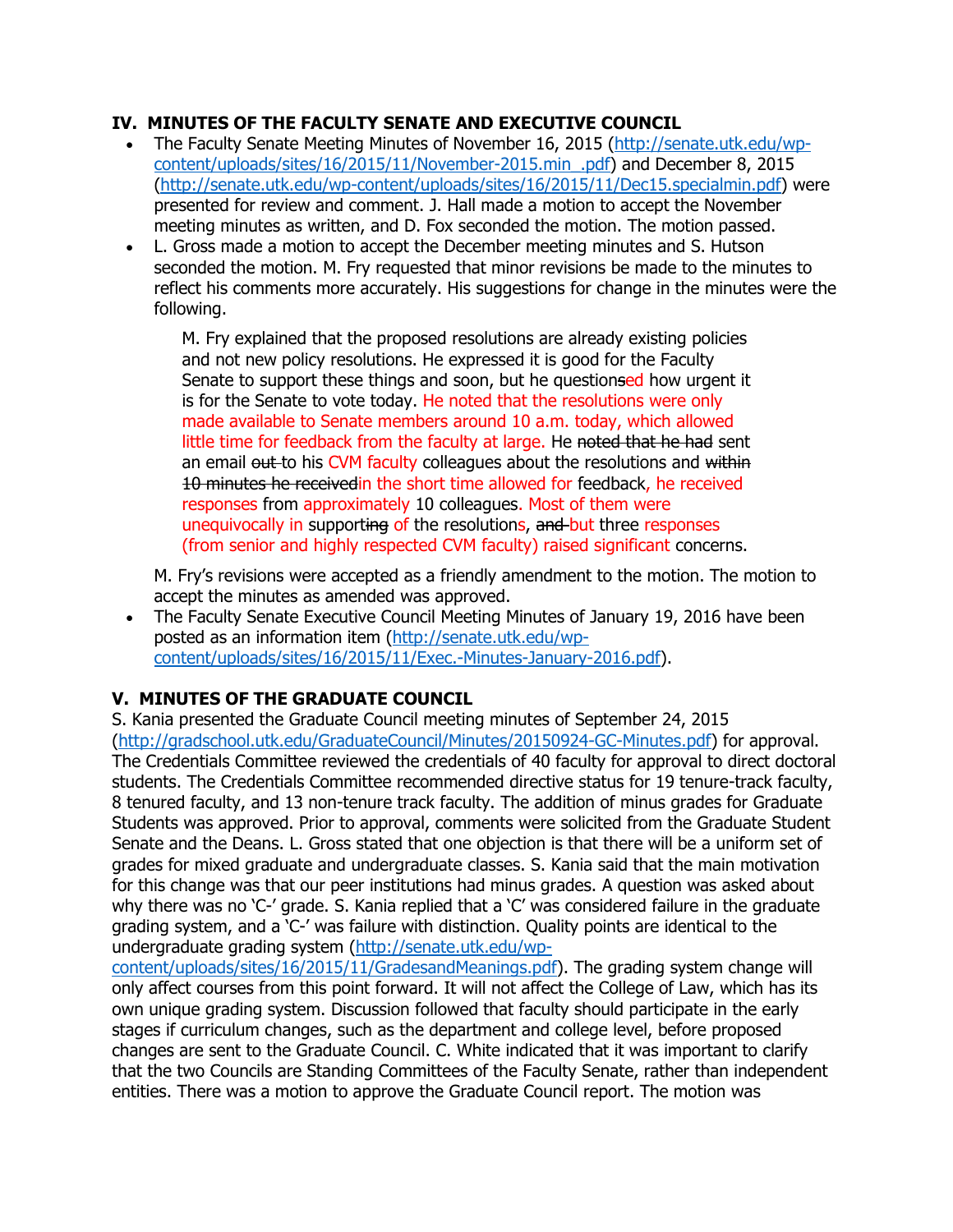# **IV. MINUTES OF THE FACULTY SENATE AND EXECUTIVE COUNCIL**

- The Faculty Senate Meeting Minutes of November 16, 2015 [\(http://senate.utk.edu/wp](http://senate.utk.edu/wp-content/uploads/sites/16/2015/11/November-2015.min_.pdf)[content/uploads/sites/16/2015/11/November-2015.min\\_.pdf\)](http://senate.utk.edu/wp-content/uploads/sites/16/2015/11/November-2015.min_.pdf) and December 8, 2015 [\(http://senate.utk.edu/wp-content/uploads/sites/16/2015/11/Dec15.specialmin.pdf\)](http://senate.utk.edu/wp-content/uploads/sites/16/2015/11/Dec15.specialmin.pdf) were presented for review and comment. J. Hall made a motion to accept the November meeting minutes as written, and D. Fox seconded the motion. The motion passed.
- L. Gross made a motion to accept the December meeting minutes and S. Hutson seconded the motion. M. Fry requested that minor revisions be made to the minutes to reflect his comments more accurately. His suggestions for change in the minutes were the following.

M. Fry explained that the proposed resolutions are already existing policies and not new policy resolutions. He expressed it is good for the Faculty Senate to support these things and soon, but he questionsed how urgent it is for the Senate to vote today. He noted that the resolutions were only made available to Senate members around 10 a.m. today, which allowed little time for feedback from the faculty at large. He noted that he had sent an email out to his CVM faculty colleagues about the resolutions and within 10 minutes he receivedin the short time allowed for feedback, he received responses from approximately 10 colleagues. Most of them were unequivocally in supporting of the resolutions, and but three responses (from senior and highly respected CVM faculty) raised significant concerns.

M. Fry's revisions were accepted as a friendly amendment to the motion. The motion to accept the minutes as amended was approved.

 The Faculty Senate Executive Council Meeting Minutes of January 19, 2016 have been posted as an information item [\(http://senate.utk.edu/wp](http://senate.utk.edu/wp-content/uploads/sites/16/2015/11/Exec.-Minutes-January-2016.pdf)[content/uploads/sites/16/2015/11/Exec.-Minutes-January-2016.pdf\)](http://senate.utk.edu/wp-content/uploads/sites/16/2015/11/Exec.-Minutes-January-2016.pdf).

# **V. MINUTES OF THE GRADUATE COUNCIL**

S. Kania presented the Graduate Council meeting minutes of September 24, 2015 [\(http://gradschool.utk.edu/GraduateCouncil/Minutes/20150924-GC-Minutes.pdf\)](http://gradschool.utk.edu/GraduateCouncil/Minutes/20150924-GC-Minutes.pdf) for approval. The Credentials Committee reviewed the credentials of 40 faculty for approval to direct doctoral students. The Credentials Committee recommended directive status for 19 tenure-track faculty, 8 tenured faculty, and 13 non-tenure track faculty. The addition of minus grades for Graduate Students was approved. Prior to approval, comments were solicited from the Graduate Student Senate and the Deans. L. Gross stated that one objection is that there will be a uniform set of grades for mixed graduate and undergraduate classes. S. Kania said that the main motivation for this change was that our peer institutions had minus grades. A question was asked about why there was no 'C-' grade. S. Kania replied that a 'C' was considered failure in the graduate grading system, and a 'C-' was failure with distinction. Quality points are identical to the undergraduate grading system [\(http://senate.utk.edu/wp-](http://senate.utk.edu/wp-content/uploads/sites/16/2015/11/GradesandMeanings.pdf)

[content/uploads/sites/16/2015/11/GradesandMeanings.pdf\)](http://senate.utk.edu/wp-content/uploads/sites/16/2015/11/GradesandMeanings.pdf). The grading system change will only affect courses from this point forward. It will not affect the College of Law, which has its own unique grading system. Discussion followed that faculty should participate in the early stages if curriculum changes, such as the department and college level, before proposed changes are sent to the Graduate Council. C. White indicated that it was important to clarify that the two Councils are Standing Committees of the Faculty Senate, rather than independent entities. There was a motion to approve the Graduate Council report. The motion was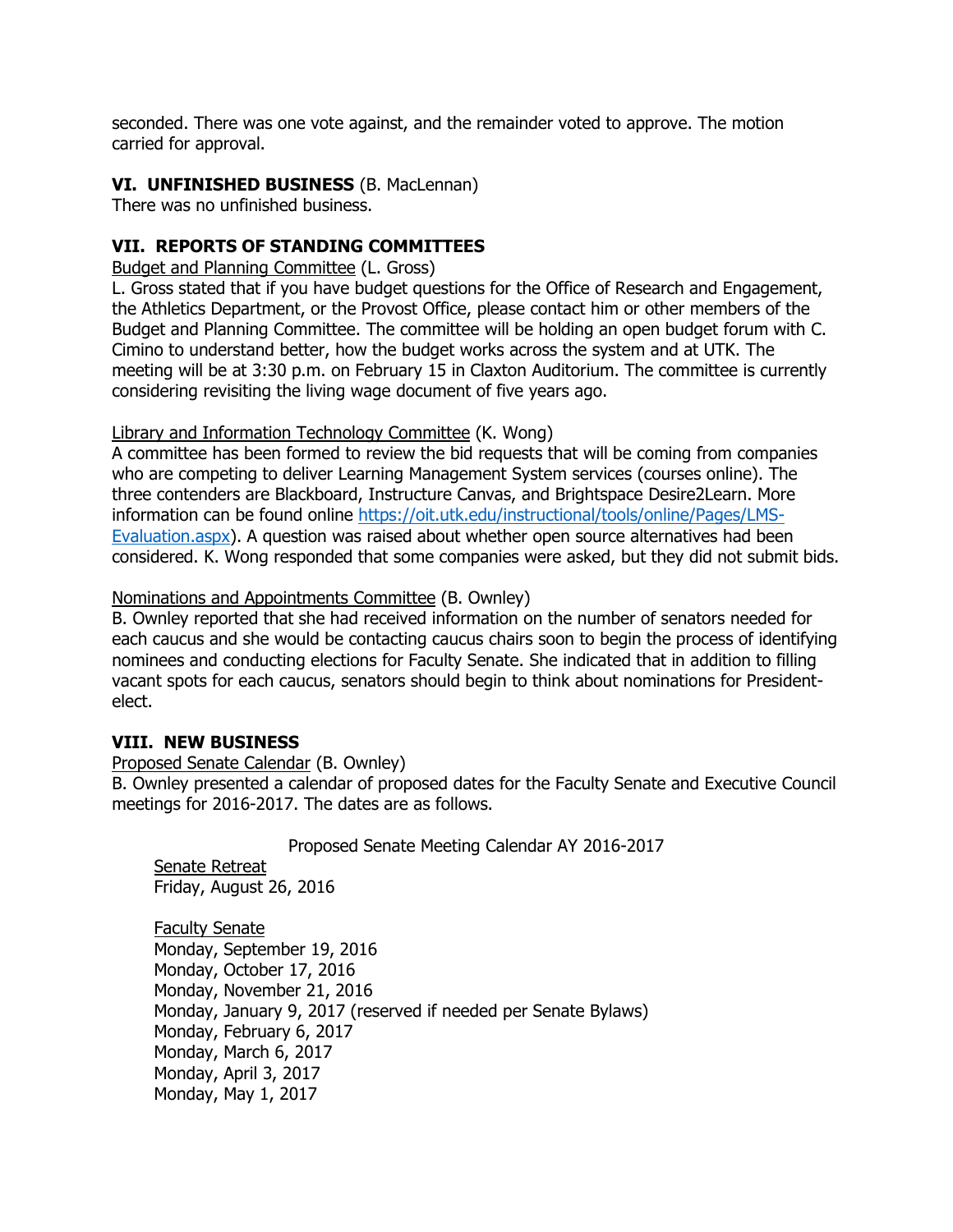seconded. There was one vote against, and the remainder voted to approve. The motion carried for approval.

### **VI. UNFINISHED BUSINESS** (B. MacLennan)

There was no unfinished business.

# **VII. REPORTS OF STANDING COMMITTEES**

Budget and Planning Committee (L. Gross)

L. Gross stated that if you have budget questions for the Office of Research and Engagement, the Athletics Department, or the Provost Office, please contact him or other members of the Budget and Planning Committee. The committee will be holding an open budget forum with C. Cimino to understand better, how the budget works across the system and at UTK. The meeting will be at 3:30 p.m. on February 15 in Claxton Auditorium. The committee is currently considering revisiting the living wage document of five years ago.

### Library and Information Technology Committee (K. Wong)

A committee has been formed to review the bid requests that will be coming from companies who are competing to deliver Learning Management System services (courses online). The three contenders are Blackboard, Instructure Canvas, and Brightspace Desire2Learn. More information can be found online [https://oit.utk.edu/instructional/tools/online/Pages/LMS-](https://oit.utk.edu/instructional/tools/online/Pages/LMS-Evaluation.aspx)[Evaluation.aspx\)](https://oit.utk.edu/instructional/tools/online/Pages/LMS-Evaluation.aspx). A question was raised about whether open source alternatives had been considered. K. Wong responded that some companies were asked, but they did not submit bids.

#### Nominations and Appointments Committee (B. Ownley)

B. Ownley reported that she had received information on the number of senators needed for each caucus and she would be contacting caucus chairs soon to begin the process of identifying nominees and conducting elections for Faculty Senate. She indicated that in addition to filling vacant spots for each caucus, senators should begin to think about nominations for Presidentelect.

#### **VIII. NEW BUSINESS**

#### Proposed Senate Calendar (B. Ownley)

B. Ownley presented a calendar of proposed dates for the Faculty Senate and Executive Council meetings for 2016-2017. The dates are as follows.

#### Proposed Senate Meeting Calendar AY 2016-2017

Senate Retreat Friday, August 26, 2016

Faculty Senate Monday, September 19, 2016 Monday, October 17, 2016 Monday, November 21, 2016 Monday, January 9, 2017 (reserved if needed per Senate Bylaws) Monday, February 6, 2017 Monday, March 6, 2017 Monday, April 3, 2017 Monday, May 1, 2017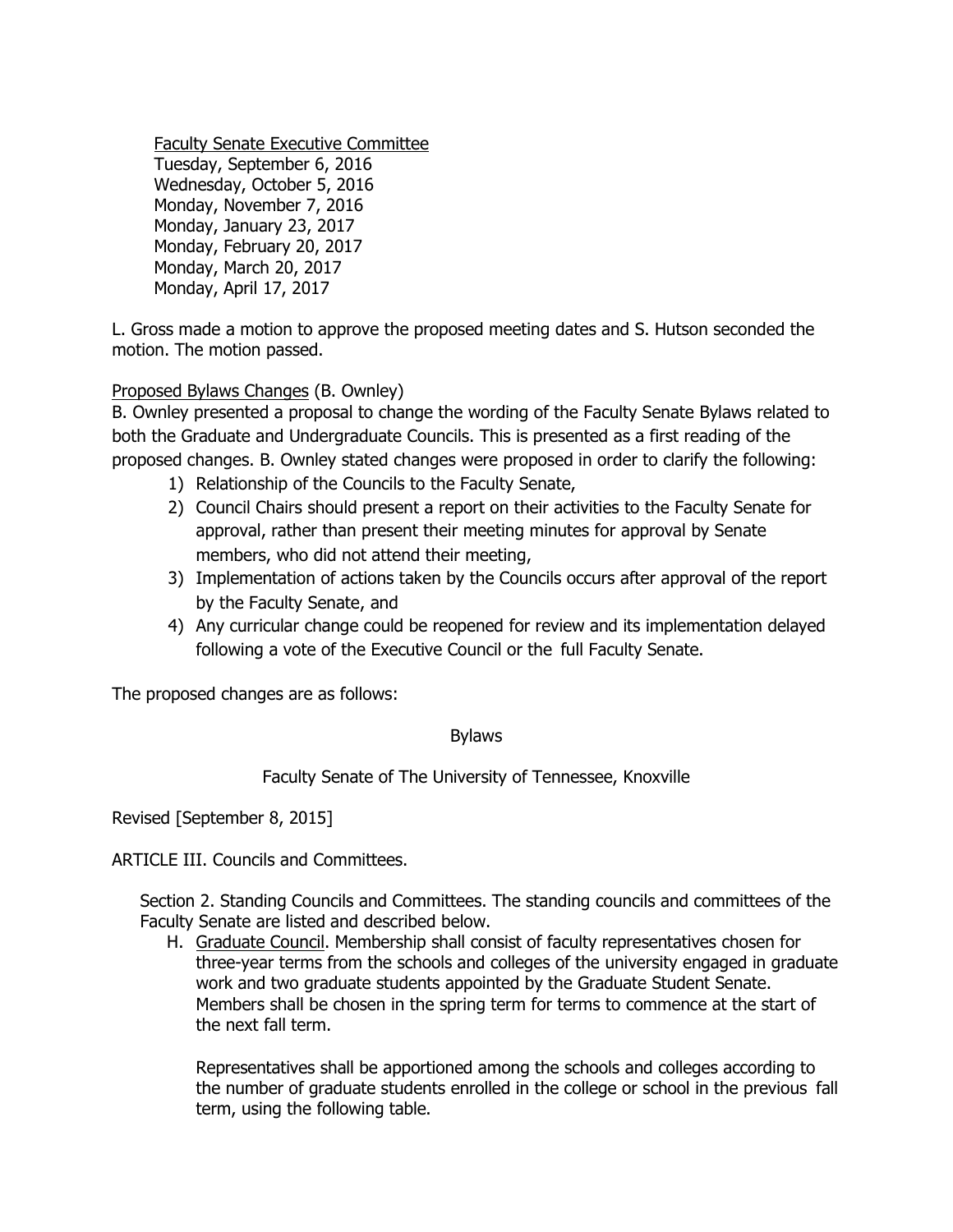Faculty Senate Executive Committee

Tuesday, September 6, 2016 Wednesday, October 5, 2016 Monday, November 7, 2016 Monday, January 23, 2017 Monday, February 20, 2017 Monday, March 20, 2017 Monday, April 17, 2017

L. Gross made a motion to approve the proposed meeting dates and S. Hutson seconded the motion. The motion passed.

# Proposed Bylaws Changes (B. Ownley)

B. Ownley presented a proposal to change the wording of the Faculty Senate Bylaws related to both the Graduate and Undergraduate Councils. This is presented as a first reading of the proposed changes. B. Ownley stated changes were proposed in order to clarify the following:

- 1) Relationship of the Councils to the Faculty Senate,
- 2) Council Chairs should present a report on their activities to the Faculty Senate for approval, rather than present their meeting minutes for approval by Senate members, who did not attend their meeting,
- 3) Implementation of actions taken by the Councils occurs after approval of the report by the Faculty Senate, and
- 4) Any curricular change could be reopened for review and its implementation delayed following a vote of the Executive Council or the full Faculty Senate.

The proposed changes are as follows:

### Bylaws

Faculty Senate of The University of Tennessee, Knoxville

Revised [September 8, 2015]

ARTICLE III. Councils and Committees.

Section 2. Standing Councils and Committees. The standing councils and committees of the Faculty Senate are listed and described below.

H. Graduate Council. Membership shall consist of faculty representatives chosen for three-year terms from the schools and colleges of the university engaged in graduate work and two graduate students appointed by the Graduate Student Senate. Members shall be chosen in the spring term for terms to commence at the start of the next fall term.

Representatives shall be apportioned among the schools and colleges according to the number of graduate students enrolled in the college or school in the previous fall term, using the following table.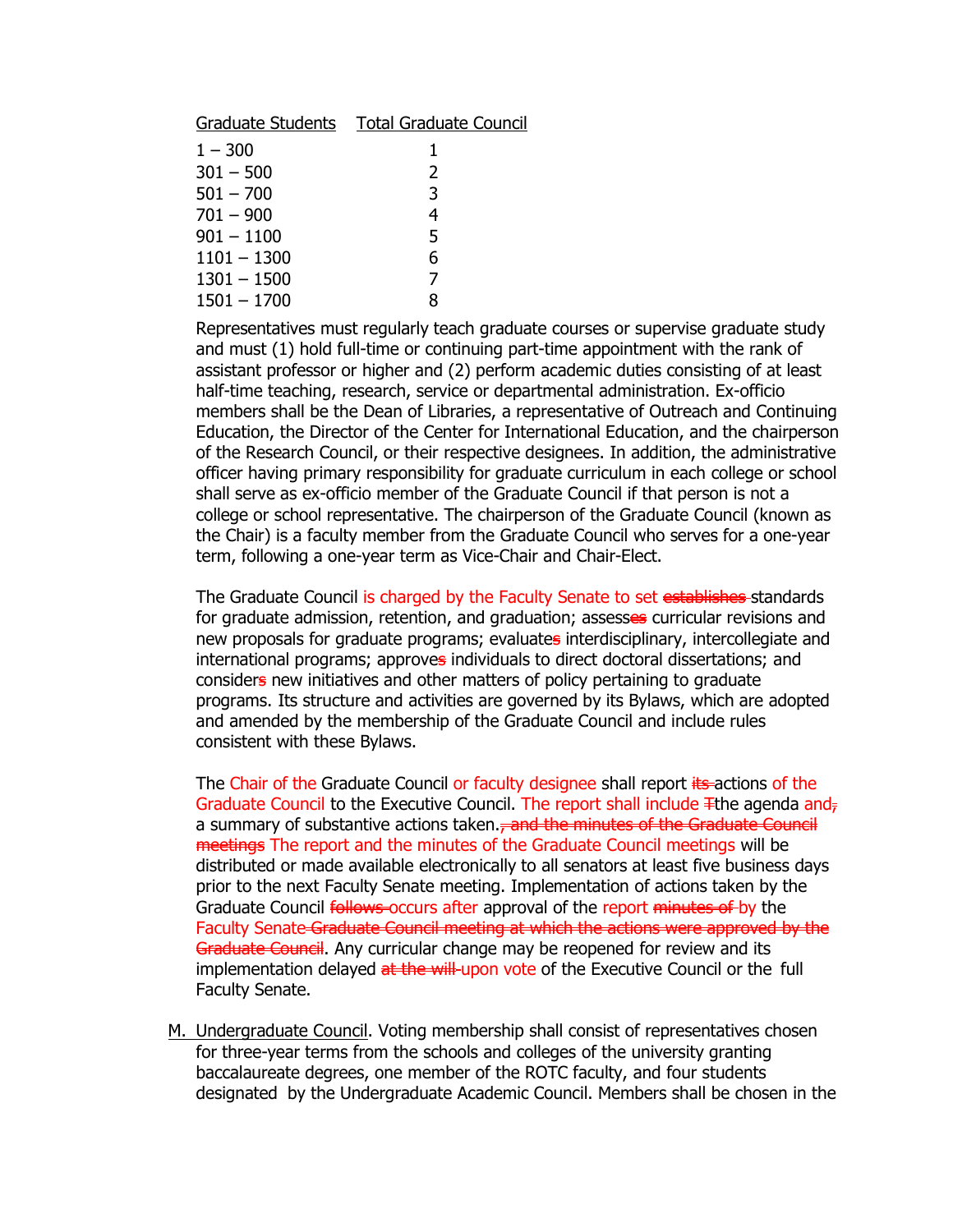|               | Graduate Students  Total Graduate Council |
|---------------|-------------------------------------------|
| $1 - 300$     | 1                                         |
| $301 - 500$   | $\mathcal{L}$                             |
| $501 - 700$   | 3                                         |
| $701 - 900$   | 4                                         |
| $901 - 1100$  | 5                                         |
| $1101 - 1300$ | 6                                         |
| $1301 - 1500$ | 7                                         |
| $1501 - 1700$ | 8                                         |

Representatives must regularly teach graduate courses or supervise graduate study and must (1) hold full-time or continuing part-time appointment with the rank of assistant professor or higher and (2) perform academic duties consisting of at least half-time teaching, research, service or departmental administration. Ex-officio members shall be the Dean of Libraries, a representative of Outreach and Continuing Education, the Director of the Center for International Education, and the chairperson of the Research Council, or their respective designees. In addition, the administrative officer having primary responsibility for graduate curriculum in each college or school shall serve as ex-officio member of the Graduate Council if that person is not a college or school representative. The chairperson of the Graduate Council (known as the Chair) is a faculty member from the Graduate Council who serves for a one-year term, following a one-year term as Vice-Chair and Chair-Elect.

The Graduate Council is charged by the Faculty Senate to set establishes-standards for graduate admission, retention, and graduation; assesses curricular revisions and new proposals for graduate programs; evaluates interdisciplinary, intercollegiate and international programs; approves individuals to direct doctoral dissertations; and considers new initiatives and other matters of policy pertaining to graduate programs. Its structure and activities are governed by its Bylaws, which are adopted and amended by the membership of the Graduate Council and include rules consistent with these Bylaws.

The Chair of the Graduate Council or faculty designee shall report its actions of the Graduate Council to the Executive Council. The report shall include  $\pm$ the agenda and $_{\pm}$ a summary of substantive actions taken.<del>, and the minutes of the Graduate Council</del> meetings The report and the minutes of the Graduate Council meetings will be distributed or made available electronically to all senators at least five business days prior to the next Faculty Senate meeting. Implementation of actions taken by the Graduate Council follows occurs after approval of the report minutes of by the Faculty Senate-Graduate Council meeting at which the actions were approved by the Graduate Council. Any curricular change may be reopened for review and its implementation delayed at the will upon vote of the Executive Council or the full Faculty Senate.

M. Undergraduate Council. Voting membership shall consist of representatives chosen for three-year terms from the schools and colleges of the university granting baccalaureate degrees, one member of the ROTC faculty, and four students designated by the Undergraduate Academic Council. Members shall be chosen in the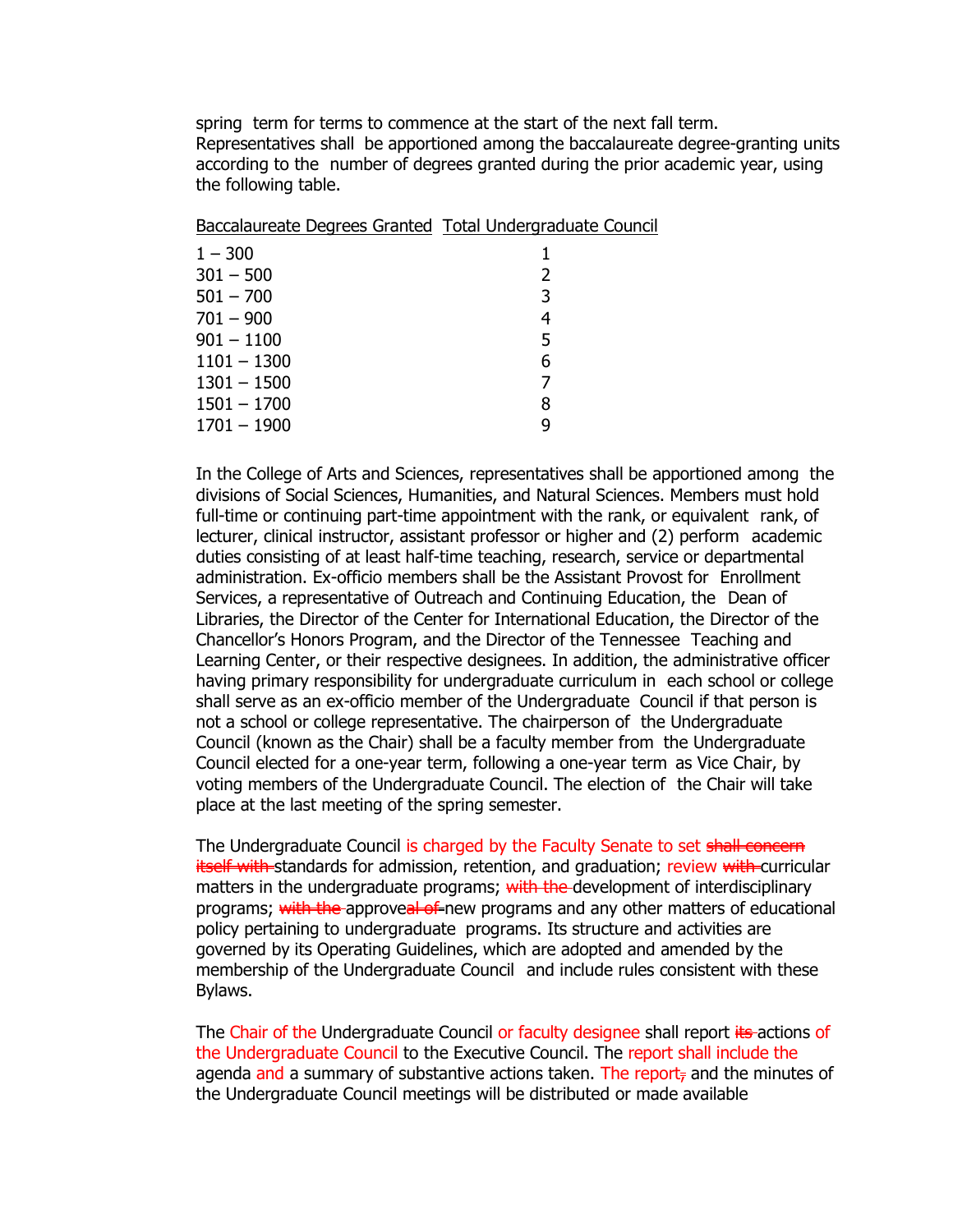spring term for terms to commence at the start of the next fall term. Representatives shall be apportioned among the baccalaureate degree-granting units according to the number of degrees granted during the prior academic year, using the following table.

Baccalaureate Degrees Granted Total Undergraduate Council

| $1 - 300$     |   |
|---------------|---|
| $301 - 500$   | 2 |
| $501 - 700$   | 3 |
| $701 - 900$   | 4 |
| $901 - 1100$  | 5 |
| $1101 - 1300$ | 6 |
| $1301 - 1500$ | 7 |
| $1501 - 1700$ | 8 |
| $1701 - 1900$ | q |
|               |   |

In the College of Arts and Sciences, representatives shall be apportioned among the divisions of Social Sciences, Humanities, and Natural Sciences. Members must hold full-time or continuing part-time appointment with the rank, or equivalent rank, of lecturer, clinical instructor, assistant professor or higher and (2) perform academic duties consisting of at least half-time teaching, research, service or departmental administration. Ex-officio members shall be the Assistant Provost for Enrollment Services, a representative of Outreach and Continuing Education, the Dean of Libraries, the Director of the Center for International Education, the Director of the Chancellor's Honors Program, and the Director of the Tennessee Teaching and Learning Center, or their respective designees. In addition, the administrative officer having primary responsibility for undergraduate curriculum in each school or college shall serve as an ex-officio member of the Undergraduate Council if that person is not a school or college representative. The chairperson of the Undergraduate Council (known as the Chair) shall be a faculty member from the Undergraduate Council elected for a one-year term, following a one-year term as Vice Chair, by voting members of the Undergraduate Council. The election of the Chair will take place at the last meeting of the spring semester.

The Undergraduate Council is charged by the Faculty Senate to set shall concern itself with standards for admission, retention, and graduation; review with curricular matters in the undergraduate programs; with the development of interdisciplinary programs; with the approveal of new programs and any other matters of educational policy pertaining to undergraduate programs. Its structure and activities are governed by its Operating Guidelines, which are adopted and amended by the membership of the Undergraduate Council and include rules consistent with these Bylaws.

The Chair of the Undergraduate Council or faculty designee shall report its actions of the Undergraduate Council to the Executive Council. The report shall include the agenda and a summary of substantive actions taken. The report, and the minutes of the Undergraduate Council meetings will be distributed or made available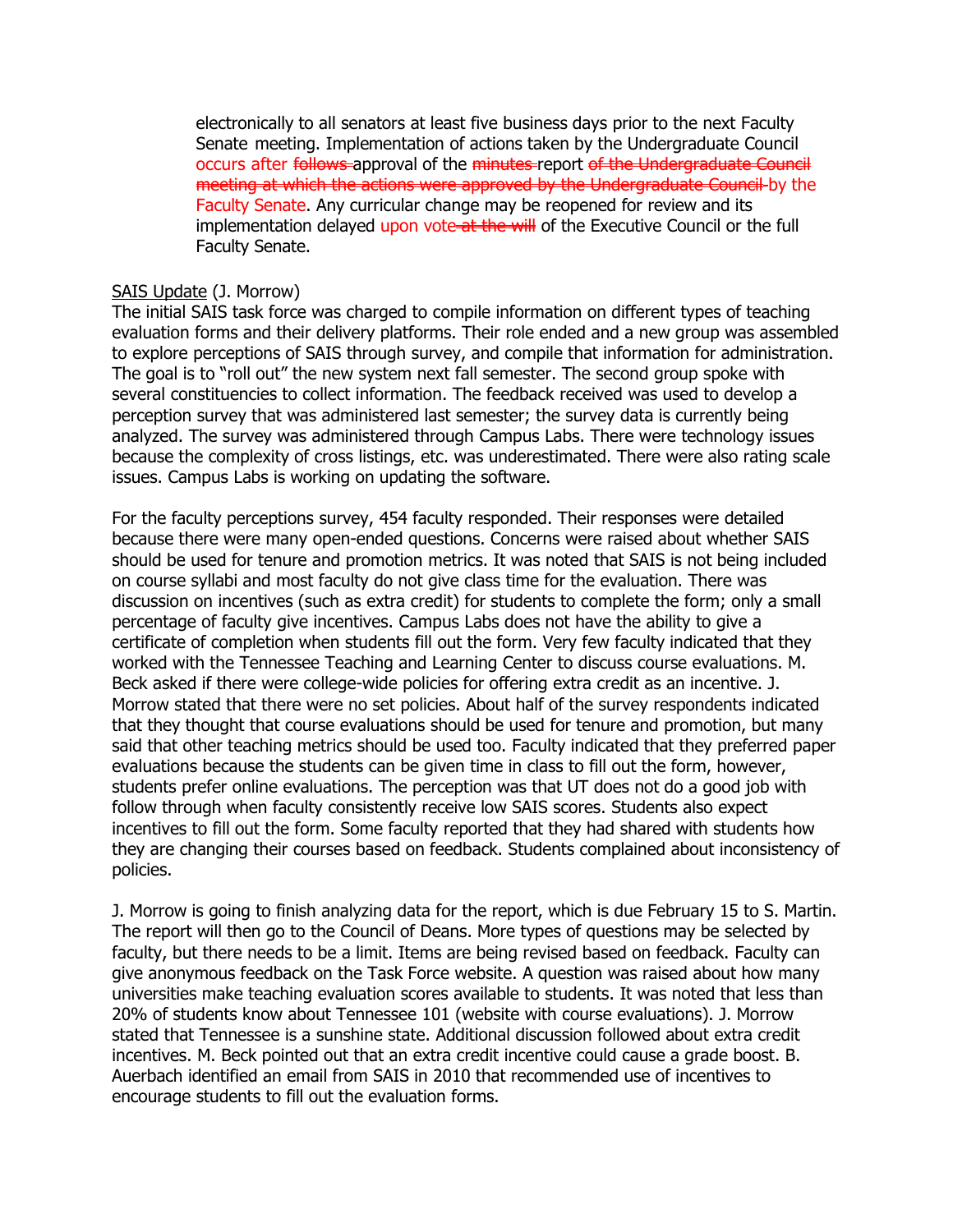electronically to all senators at least five business days prior to the next Faculty Senate meeting. Implementation of actions taken by the Undergraduate Council occurs after follows approval of the minutes report of the Undergraduate Council meeting at which the actions were approved by the Undergraduate Council by the Faculty Senate. Any curricular change may be reopened for review and its implementation delayed upon vote-at the will of the Executive Council or the full Faculty Senate.

#### SAIS Update (J. Morrow)

The initial SAIS task force was charged to compile information on different types of teaching evaluation forms and their delivery platforms. Their role ended and a new group was assembled to explore perceptions of SAIS through survey, and compile that information for administration. The goal is to "roll out" the new system next fall semester. The second group spoke with several constituencies to collect information. The feedback received was used to develop a perception survey that was administered last semester; the survey data is currently being analyzed. The survey was administered through Campus Labs. There were technology issues because the complexity of cross listings, etc. was underestimated. There were also rating scale issues. Campus Labs is working on updating the software.

For the faculty perceptions survey, 454 faculty responded. Their responses were detailed because there were many open-ended questions. Concerns were raised about whether SAIS should be used for tenure and promotion metrics. It was noted that SAIS is not being included on course syllabi and most faculty do not give class time for the evaluation. There was discussion on incentives (such as extra credit) for students to complete the form; only a small percentage of faculty give incentives. Campus Labs does not have the ability to give a certificate of completion when students fill out the form. Very few faculty indicated that they worked with the Tennessee Teaching and Learning Center to discuss course evaluations. M. Beck asked if there were college-wide policies for offering extra credit as an incentive. J. Morrow stated that there were no set policies. About half of the survey respondents indicated that they thought that course evaluations should be used for tenure and promotion, but many said that other teaching metrics should be used too. Faculty indicated that they preferred paper evaluations because the students can be given time in class to fill out the form, however, students prefer online evaluations. The perception was that UT does not do a good job with follow through when faculty consistently receive low SAIS scores. Students also expect incentives to fill out the form. Some faculty reported that they had shared with students how they are changing their courses based on feedback. Students complained about inconsistency of policies.

J. Morrow is going to finish analyzing data for the report, which is due February 15 to S. Martin. The report will then go to the Council of Deans. More types of questions may be selected by faculty, but there needs to be a limit. Items are being revised based on feedback. Faculty can give anonymous feedback on the Task Force website. A question was raised about how many universities make teaching evaluation scores available to students. It was noted that less than 20% of students know about Tennessee 101 (website with course evaluations). J. Morrow stated that Tennessee is a sunshine state. Additional discussion followed about extra credit incentives. M. Beck pointed out that an extra credit incentive could cause a grade boost. B. Auerbach identified an email from SAIS in 2010 that recommended use of incentives to encourage students to fill out the evaluation forms.